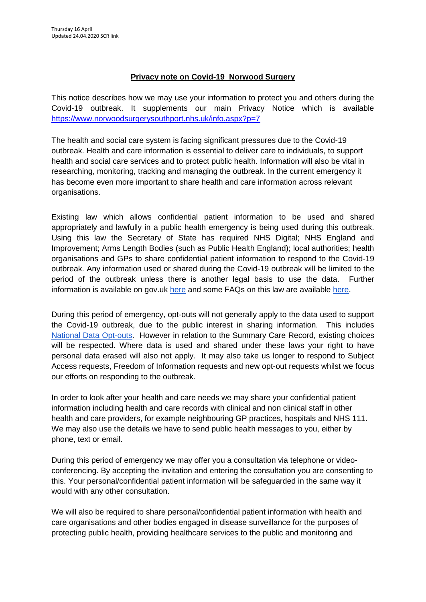## **Privacy note on Covid-19 Norwood Surgery**

This notice describes how we may use your information to protect you and others during the Covid-19 outbreak. It supplements our main Privacy Notice which is available <https://www.norwoodsurgerysouthport.nhs.uk/info.aspx?p=7>

The health and social care system is facing significant pressures due to the Covid-19 outbreak. Health and care information is essential to deliver care to individuals, to support health and social care services and to protect public health. Information will also be vital in researching, monitoring, tracking and managing the outbreak. In the current emergency it has become even more important to share health and care information across relevant organisations.

Existing law which allows confidential patient information to be used and shared appropriately and lawfully in a public health emergency is being used during this outbreak. Using this law the Secretary of State has required NHS Digital; NHS England and Improvement; Arms Length Bodies (such as Public Health England); local authorities; health organisations and GPs to share confidential patient information to respond to the Covid-19 outbreak. Any information used or shared during the Covid-19 outbreak will be limited to the period of the outbreak unless there is another legal basis to use the data. Further information is available on gov.uk [here](https://www.gov.uk/government/publications/coronavirus-covid-19-notification-of-data-controllers-to-share-information?utm_source=d05aa30e-95d2-48e3-93e0-0a696c35bd3c&utm_medium=email&utm_campaign=govuk-notifications&utm_content=immediate) and some FAQs on this law are available [here.](https://www.nhsx.nhs.uk/key-information-and-tools/information-governance-guidance/COPI-notice-FAQs)

During this period of emergency, opt-outs will not generally apply to the data used to support the Covid-19 outbreak, due to the public interest in sharing information. This include[s](https://www.nhs.uk/your-nhs-data-matters/) [National Data Opt-outs.](https://www.nhs.uk/your-nhs-data-matters/) However in relation to the Summary Care Record, existing choices will be respected. Where data is used and shared under these laws your right to have personal data erased will also not apply. It may also take us longer to respond to Subject Access requests, Freedom of Information requests and new opt-out requests whilst we focus our efforts on responding to the outbreak.

In order to look after your health and care needs we may share your confidential patient information including health and care records with clinical and non clinical staff in other health and care providers, for example neighbouring GP practices, hospitals and NHS 111. We may also use the details we have to send public health messages to you, either by phone, text or email.

During this period of emergency we may offer you a consultation via telephone or videoconferencing. By accepting the invitation and entering the consultation you are consenting to this. Your personal/confidential patient information will be safeguarded in the same way it would with any other consultation.

We will also be required to share personal/confidential patient information with health and care organisations and other bodies engaged in disease surveillance for the purposes of protecting public health, providing healthcare services to the public and monitoring and